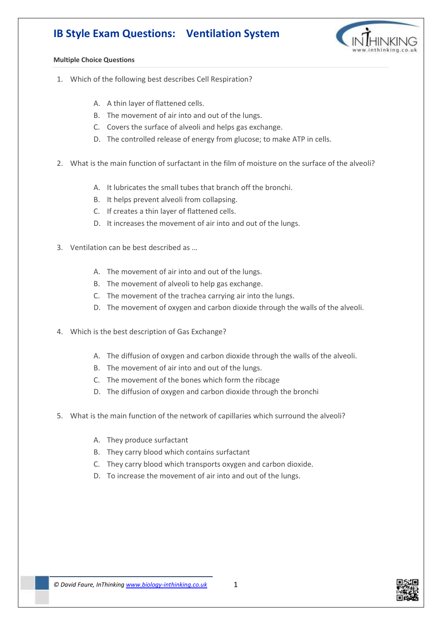## **IB Style Exam Questions: Ventilation System**



## **Multiple Choice Questions**

- 1. Which of the following best describes Cell Respiration?
	- A. A thin layer of flattened cells.
	- B. The movement of air into and out of the lungs.
	- C. Covers the surface of alveoli and helps gas exchange.
	- D. The controlled release of energy from glucose; to make ATP in cells.
- 2. What is the main function of surfactant in the film of moisture on the surface of the alveoli?
	- A. It lubricates the small tubes that branch off the bronchi.
	- B. It helps prevent alveoli from collapsing.
	- C. If creates a thin layer of flattened cells.
	- D. It increases the movement of air into and out of the lungs.
- 3. Ventilation can be best described as …
	- A. The movement of air into and out of the lungs.
	- B. The movement of alveoli to help gas exchange.
	- C. The movement of the trachea carrying air into the lungs.
	- D. The movement of oxygen and carbon dioxide through the walls of the alveoli.
- 4. Which is the best description of Gas Exchange?
	- A. The diffusion of oxygen and carbon dioxide through the walls of the alveoli.
	- B. The movement of air into and out of the lungs.
	- C. The movement of the bones which form the ribcage
	- D. The diffusion of oxygen and carbon dioxide through the bronchi
- 5. What is the main function of the network of capillaries which surround the alveoli?
	- A. They produce surfactant
	- B. They carry blood which contains surfactant
	- C. They carry blood which transports oxygen and carbon dioxide.
	- D. To increase the movement of air into and out of the lungs.